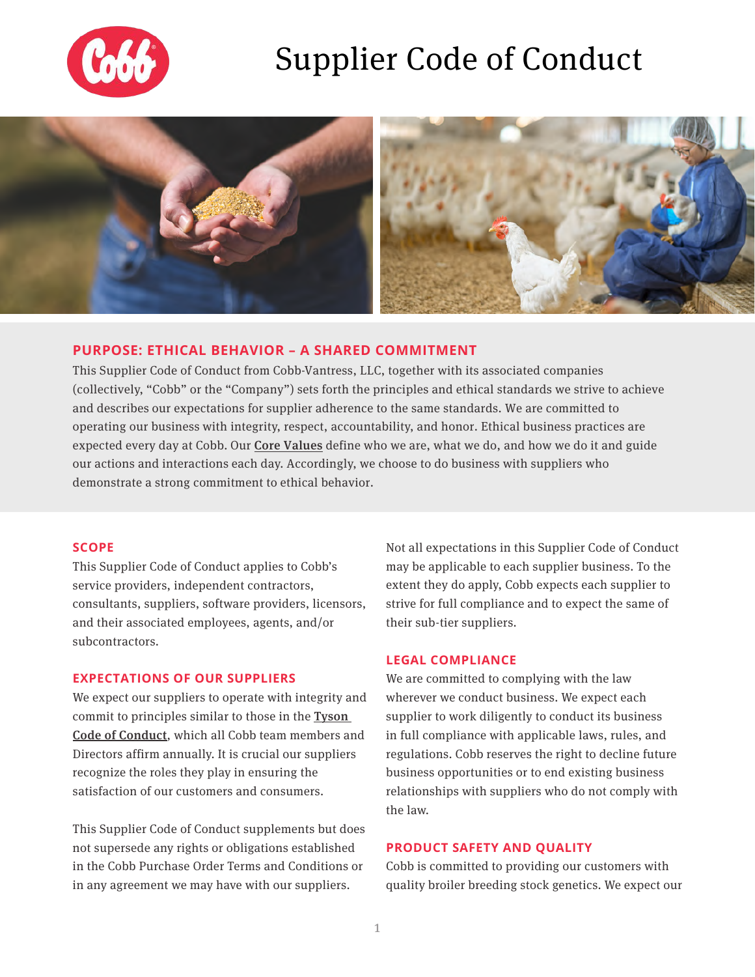

# Supplier Code of Conduct



## **PURPOSE: ETHICAL BEHAVIOR – A SHARED COMMITMENT**

This Supplier Code of Conduct from Cobb-Vantress, LLC, together with its associated companies (collectively, "Cobb" or the "Company") sets forth the principles and ethical standards we strive to achieve and describes our expectations for supplier adherence to the same standards. We are committed to operating our business with integrity, respect, accountability, and honor. Ethical business practices are expected every day at Cobb. Our **[Core Values](https://www.cobb-vantress.com/en_US/our-story/mission-and-values/)** define who we are, what we do, and how we do it and guide our actions and interactions each day. Accordingly, we choose to do business with suppliers who demonstrate a strong commitment to ethical behavior.

#### **SCOPE**

This Supplier Code of Conduct applies to Cobb's service providers, independent contractors, consultants, suppliers, software providers, licensors, and their associated employees, agents, and/or subcontractors.

#### **EXPECTATIONS OF OUR SUPPLIERS**

We expect our suppliers to operate with integrity and commit to principles similar to those in the [Tyson](https://www.tysoncodeofconduct.com/)  [Code of Conduct](https://www.tysoncodeofconduct.com/), which all Cobb team members and Directors affirm annually. It is crucial our suppliers recognize the roles they play in ensuring the satisfaction of our customers and consumers.

This Supplier Code of Conduct supplements but does not supersede any rights or obligations established in the Cobb Purchase Order Terms and Conditions or in any agreement we may have with our suppliers.

Not all expectations in this Supplier Code of Conduct may be applicable to each supplier business. To the extent they do apply, Cobb expects each supplier to strive for full compliance and to expect the same of their sub-tier suppliers.

#### **LEGAL COMPLIANCE**

We are committed to complying with the law wherever we conduct business. We expect each supplier to work diligently to conduct its business in full compliance with applicable laws, rules, and regulations. Cobb reserves the right to decline future business opportunities or to end existing business relationships with suppliers who do not comply with the law.

### **PRODUCT SAFETY AND QUALITY**

Cobb is committed to providing our customers with quality broiler breeding stock genetics. We expect our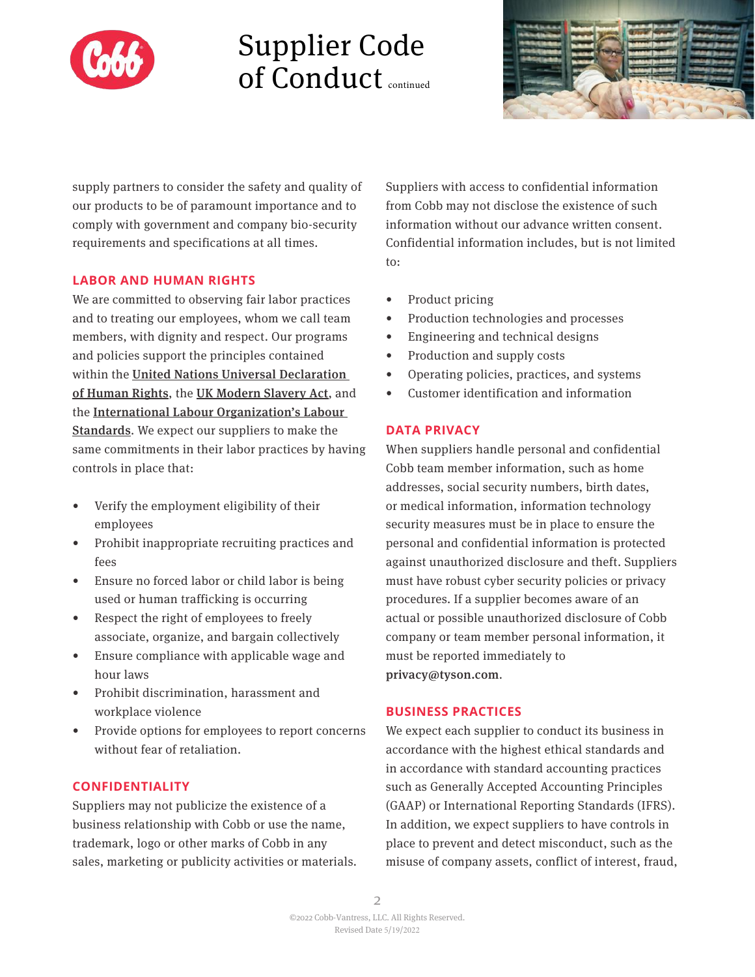

# Supplier Code of Conduct continued



supply partners to consider the safety and quality of our products to be of paramount importance and to comply with government and company bio-security requirements and specifications at all times.

### **LABOR AND HUMAN RIGHTS**

We are committed to observing fair labor practices and to treating our employees, whom we call team members, with dignity and respect. Our programs and policies support the principles contained within the [United Nations Universal Declaration](https://www.ohchr.org/en/universal-declaration-of-human-rights)  [of Human Rights](https://www.ohchr.org/en/universal-declaration-of-human-rights), the [UK Modern Slavery Act](https://www.legislation.gov.uk/ukpga/2015/30/contents), and the [International Labour Organization's Labour](http://www.ilo.org/global/standards/introduction-to-international-labour-standards/lang--en/index.htm)  [Standards](http://www.ilo.org/global/standards/introduction-to-international-labour-standards/lang--en/index.htm). We expect our suppliers to make the same commitments in their labor practices by having controls in place that:

- Verify the employment eligibility of their employees
- Prohibit inappropriate recruiting practices and fees
- Ensure no forced labor or child labor is being used or human trafficking is occurring
- Respect the right of employees to freely associate, organize, and bargain collectively
- Ensure compliance with applicable wage and hour laws
- Prohibit discrimination, harassment and workplace violence
- Provide options for employees to report concerns without fear of retaliation.

### **CONFIDENTIALITY**

Suppliers may not publicize the existence of a business relationship with Cobb or use the name, trademark, logo or other marks of Cobb in any sales, marketing or publicity activities or materials. Suppliers with access to confidential information from Cobb may not disclose the existence of such information without our advance written consent. Confidential information includes, but is not limited to:

- Product pricing
- Production technologies and processes
- Engineering and technical designs
- Production and supply costs
- Operating policies, practices, and systems
- Customer identification and information

### **DATA PRIVACY**

When suppliers handle personal and confidential Cobb team member information, such as home addresses, social security numbers, birth dates, or medical information, information technology security measures must be in place to ensure the personal and confidential information is protected against unauthorized disclosure and theft. Suppliers must have robust cyber security policies or privacy procedures. If a supplier becomes aware of an actual or possible unauthorized disclosure of Cobb company or team member personal information, it must be reported immediately to privacy@tyson.com.

## **BUSINESS PRACTICES**

We expect each supplier to conduct its business in accordance with the highest ethical standards and in accordance with standard accounting practices such as Generally Accepted Accounting Principles (GAAP) or International Reporting Standards (IFRS). In addition, we expect suppliers to have controls in place to prevent and detect misconduct, such as the misuse of company assets, conflict of interest, fraud,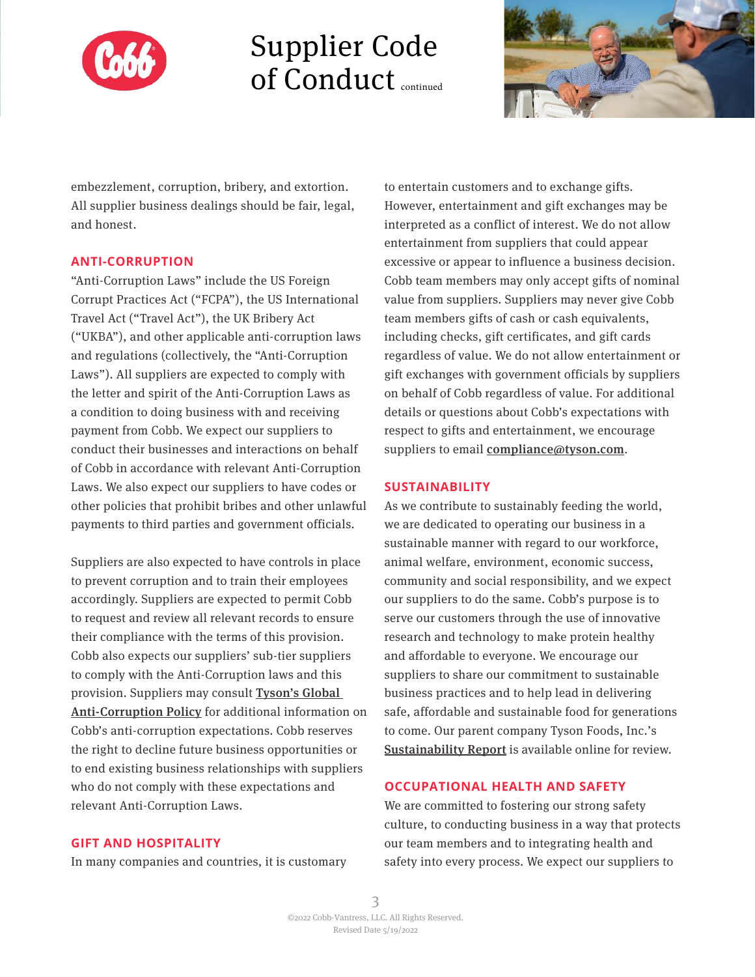

## Supplier Code of Conduct continued



embezzlement, corruption, bribery, and extortion. All supplier business dealings should be fair, legal, and honest.

#### **ANTI-CORRUPTION**

"Anti-Corruption Laws" include the US Foreign Corrupt Practices Act ("FCPA"), the US International Travel Act ("Travel Act"), the UK Bribery Act ("UKBA"), and other applicable anti-corruption laws and regulations (collectively, the "Anti-Corruption Laws"). All suppliers are expected to comply with the letter and spirit of the Anti-Corruption Laws as a condition to doing business with and receiving payment from Cobb. We expect our suppliers to conduct their businesses and interactions on behalf of Cobb in accordance with relevant Anti-Corruption Laws. We also expect our suppliers to have codes or other policies that prohibit bribes and other unlawful payments to third parties and government officials.

Suppliers are also expected to have controls in place to prevent corruption and to train their employees accordingly. Suppliers are expected to permit Cobb to request and review all relevant records to ensure their compliance with the terms of this provision. Cobb also expects our suppliers' sub-tier suppliers to comply with the Anti-Corruption laws and this provision. Suppliers may consult [Tyson's Global](https://www.tysoncodeofconduct.com/)  [Anti-Corruption Policy](https://www.tysonfoods.com/legal) for additional information on Cobb's anti-corruption expectations. Cobb reserves the right to decline future business opportunities or to end existing business relationships with suppliers who do not comply with these expectations and relevant Anti-Corruption Laws.

to entertain customers and to exchange gifts. However, entertainment and gift exchanges may be interpreted as a conflict of interest. We do not allow entertainment from suppliers that could appear excessive or appear to influence a business decision. Cobb team members may only accept gifts of nominal value from suppliers. Suppliers may never give Cobb team members gifts of cash or cash equivalents, including checks, gift certificates, and gift cards regardless of value. We do not allow entertainment or gift exchanges with government officials by suppliers on behalf of Cobb regardless of value. For additional details or questions about Cobb's expectations with respect to gifts and entertainment, we encourage suppliers to email compliance@tyson.com.

#### **SUSTAINABILITY**

As we contribute to sustainably feeding the world, we are dedicated to operating our business in a sustainable manner with regard to our workforce, animal welfare, environment, economic success, community and social responsibility, and we expect our suppliers to do the same. Cobb's purpose is to serve our customers through the use of innovative research and technology to make protein healthy and affordable to everyone. We encourage our suppliers to share our commitment to sustainable business practices and to help lead in delivering safe, affordable and sustainable food for generations to come. Our parent company Tyson Foods, Inc.'s [Sustainability Report](https://www.tysonfoods.com/sustainability) is available online for review.

### **OCCUPATIONAL HEALTH AND SAFETY**

We are committed to fostering our strong safety culture, to conducting business in a way that protects our team members and to integrating health and safety into every process. We expect our suppliers to

#### **GIFT AND HOSPITALITY**

In many companies and countries, it is customary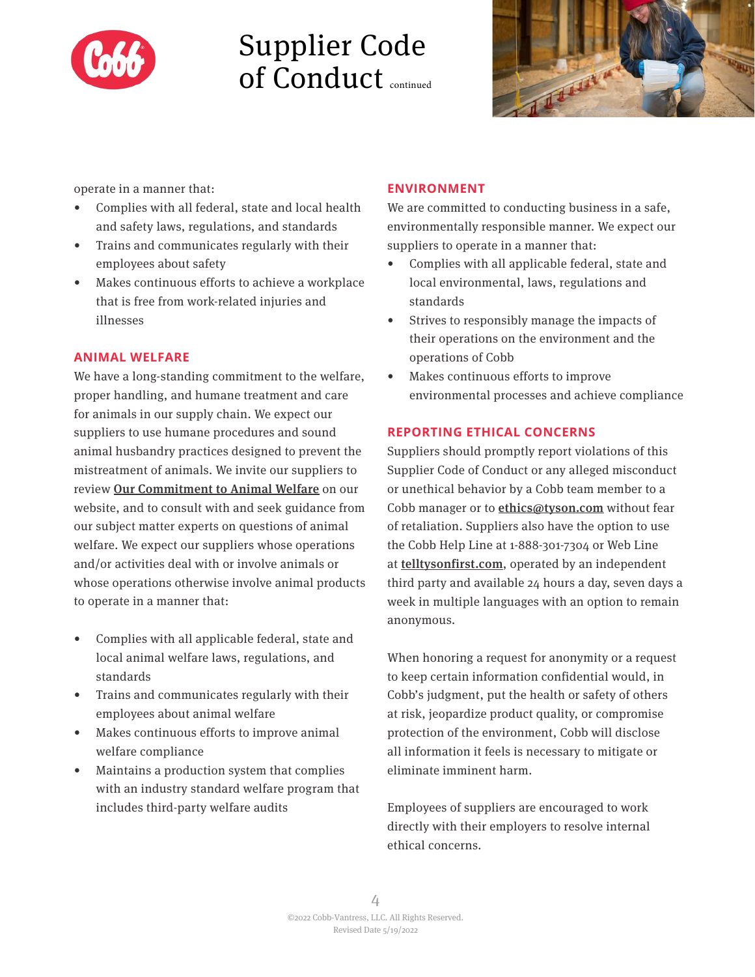

# Supplier Code of Conduct continued



operate in a manner that:

- Complies with all federal, state and local health and safety laws, regulations, and standards
- Trains and communicates regularly with their employees about safety
- Makes continuous efforts to achieve a workplace that is free from work-related injuries and illnesses

### **ANIMAL WELFARE**

We have a long-standing commitment to the welfare, proper handling, and humane treatment and care for animals in our supply chain. We expect our suppliers to use humane procedures and sound animal husbandry practices designed to prevent the mistreatment of animals. We invite our suppliers to review [Our Commitment to Animal Welfare](https://www.cobbcares.com/) on our website, and to consult with and seek guidance from our subject matter experts on questions of animal welfare. We expect our suppliers whose operations and/or activities deal with or involve animals or whose operations otherwise involve animal products to operate in a manner that:

- Complies with all applicable federal, state and local animal welfare laws, regulations, and standards
- Trains and communicates regularly with their employees about animal welfare
- Makes continuous efforts to improve animal welfare compliance
- Maintains a production system that complies with an industry standard welfare program that includes third-party welfare audits

### **ENVIRONMENT**

We are committed to conducting business in a safe, environmentally responsible manner. We expect our suppliers to operate in a manner that:

- Complies with all applicable federal, state and local environmental, laws, regulations and standards
- Strives to responsibly manage the impacts of their operations on the environment and the operations of Cobb
- Makes continuous efforts to improve environmental processes and achieve compliance

### **REPORTING ETHICAL CONCERNS**

Suppliers should promptly report violations of this Supplier Code of Conduct or any alleged misconduct or unethical behavior by a Cobb team member to a Cobb manager or to **ethics@tyson.com** without fear of retaliation. Suppliers also have the option to use the Cobb Help Line at 1-888-301-7304 or Web Line at [telltysonfirst.com](https://secure.ethicspoint.com/domain/media/en/gui/71667/index.html), operated by an independent third party and available 24 hours a day, seven days a week in multiple languages with an option to remain anonymous.

When honoring a request for anonymity or a request to keep certain information confidential would, in Cobb's judgment, put the health or safety of others at risk, jeopardize product quality, or compromise protection of the environment, Cobb will disclose all information it feels is necessary to mitigate or eliminate imminent harm.

Employees of suppliers are encouraged to work directly with their employers to resolve internal ethical concerns.